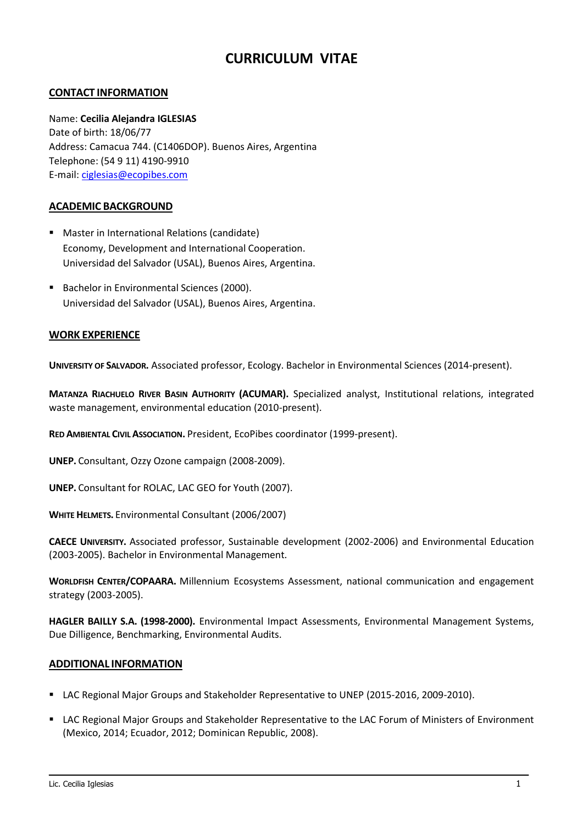# **CURRICULUM VITAE**

## **CONTACT INFORMATION**

### Name: **Cecilia Alejandra IGLESIAS**

Date of birth: 18/06/77 Address: Camacua 744. (C1406DOP). Buenos Aires, Argentina Telephone: (54 9 11) 4190-9910 E-mail: [ciglesias@ecopibes.com](mailto:ciglesias@ecopibes.com)

### **ACADEMIC BACKGROUND**

- **Master in International Relations (candidate)** Economy, Development and International Cooperation. Universidad del Salvador (USAL), Buenos Aires, Argentina.
- Bachelor in Environmental Sciences (2000). Universidad del Salvador (USAL), Buenos Aires, Argentina.

### **WORK EXPERIENCE**

**UNIVERSITY OF SALVADOR.** Associated professor, Ecology. Bachelor in Environmental Sciences (2014-present).

**MATANZA RIACHUELO RIVER BASIN AUTHORITY (ACUMAR).** Specialized analyst, Institutional relations, integrated waste management, environmental education (2010-present).

**RED AMBIENTAL CIVIL ASSOCIATION.** President, EcoPibes coordinator (1999-present).

**UNEP.** Consultant, Ozzy Ozone campaign (2008-2009).

**UNEP.** Consultant for ROLAC, LAC GEO for Youth (2007).

**WHITE HELMETS.** Environmental Consultant (2006/2007)

**CAECE UNIVERSITY.** Associated professor, Sustainable development (2002-2006) and Environmental Education (2003-2005). Bachelor in Environmental Management.

**WORLDFISH CENTER/COPAARA.** Millennium Ecosystems Assessment, national communication and engagement strategy (2003-2005).

**HAGLER BAILLY S.A. (1998-2000).** Environmental Impact Assessments, Environmental Management Systems, Due Dilligence, Benchmarking, Environmental Audits.

#### **ADDITIONAL INFORMATION**

- LAC Regional Major Groups and Stakeholder Representative to UNEP (2015-2016, 2009-2010).
- LAC Regional Major Groups and Stakeholder Representative to the LAC Forum of Ministers of Environment (Mexico, 2014; Ecuador, 2012; Dominican Republic, 2008).